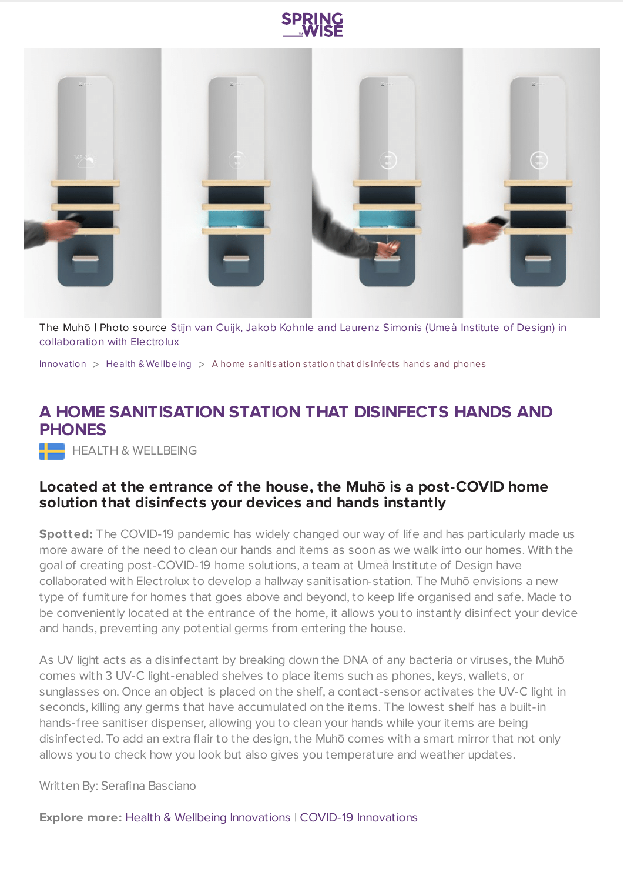



The Muhō | Photo source Stijn van Cuijk, Jakob Kohnle and Laurenz Simonis (Umeå Institute of Design) in [collaboration](https://www.umu.se/) with Electrolux

[Innovation](https://www.springwise.com/search?type=innovation)  $>$  Health & [Wellbeing](https://www.springwise.com/search?type=innovation§or=health-wellbeing)  $>$  A home sanitisation station that disinfects hands and phones

## **A HOME SANITISATION STATION THAT DISINFECTS HANDS AND PHONES**

**HEALTH & WELLBEING** 

## **Located at the entrance of the house, the Muhō is a post-COVID home solution that disinfects your devices and hands instantly**

**Spotted:** The COVID-19 pandemic has widely changed our way of life and has particularly made us more aware of the need to clean our hands and items as soon as we walk into our homes. With the goal of creating post-COVID-19 home solutions, a team at Umeå Institute of Design have collaborated with Electrolux to develop a hallway sanitisation-station. The Muhō envisions a new type of furniture for homes that goes above and beyond, to keep life organised and safe. Made to be conveniently located at the entrance of the home, it allows you to instantly disinfect your device and hands, preventing any potential germs from entering the house.

As UV light acts as a disinfectant by breaking down the DNA of any bacteria or viruses, the Muhō comes with 3 UV-C light-enabled shelves to place items such as phones, keys, wallets, or sunglasses on. Once an object is placed on the shelf, a contact-sensor activates the UV-C light in seconds, killing any germs that have accumulated on the items. The lowest shelf has a built-in hands-free sanitiser dispenser, allowing you to clean your hands while your items are being disinfected. To add an extra flair to the design, the Muhō comes with a smart mirror that not only allows you to check how you look but also gives you temperature and weather updates.

Written By: Serafina Basciano

**Explore more:** Health & Wellbeing [Innovations](https://www.springwise.com/healthcare-and-wellbeing-innovations/) | COVID-19 [Innovations](https://www.springwise.com/innovations-in-response-to-coronavirus/)